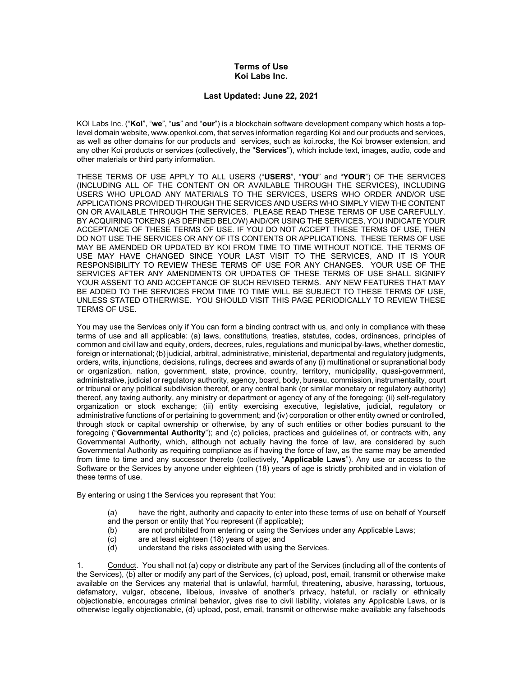## Terms of Use Koi Labs Inc.

## Last Updated: June 22, 2021

KOI Labs Inc. ("Koi", "we", "us" and "our") is a blockchain software development company which hosts a toplevel domain website, www.openkoi.com, that serves information regarding Koi and our products and services, as well as other domains for our products and services, such as koi.rocks, the Koi browser extension, and any other Koi products or services (collectively, the "Services"), which include text, images, audio, code and other materials or third party information.

THESE TERMS OF USE APPLY TO ALL USERS ("USERS", "YOU" and "YOUR") OF THE SERVICES (INCLUDING ALL OF THE CONTENT ON OR AVAILABLE THROUGH THE SERVICES), INCLUDING USERS WHO UPLOAD ANY MATERIALS TO THE SERVICES, USERS WHO ORDER AND/OR USE APPLICATIONS PROVIDED THROUGH THE SERVICES AND USERS WHO SIMPLY VIEW THE CONTENT ON OR AVAILABLE THROUGH THE SERVICES. PLEASE READ THESE TERMS OF USE CAREFULLY. BY ACQUIRING TOKENS (AS DEFINED BELOW) AND/OR USING THE SERVICES, YOU INDICATE YOUR ACCEPTANCE OF THESE TERMS OF USE. IF YOU DO NOT ACCEPT THESE TERMS OF USE, THEN DO NOT USE THE SERVICES OR ANY OF ITS CONTENTS OR APPLICATIONS. THESE TERMS OF USE MAY BE AMENDED OR UPDATED BY KOI FROM TIME TO TIME WITHOUT NOTICE. THE TERMS OF USE MAY HAVE CHANGED SINCE YOUR LAST VISIT TO THE SERVICES, AND IT IS YOUR RESPONSIBILITY TO REVIEW THESE TERMS OF USE FOR ANY CHANGES. YOUR USE OF THE SERVICES AFTER ANY AMENDMENTS OR UPDATES OF THESE TERMS OF USE SHALL SIGNIFY YOUR ASSENT TO AND ACCEPTANCE OF SUCH REVISED TERMS. ANY NEW FEATURES THAT MAY BE ADDED TO THE SERVICES FROM TIME TO TIME WILL BE SUBJECT TO THESE TERMS OF USE, UNLESS STATED OTHERWISE. YOU SHOULD VISIT THIS PAGE PERIODICALLY TO REVIEW THESE TERMS OF USE.

You may use the Services only if You can form a binding contract with us, and only in compliance with these terms of use and all applicable: (a) laws, constitutions, treaties, statutes, codes, ordinances, principles of common and civil law and equity, orders, decrees, rules, regulations and municipal by-laws, whether domestic, foreign or international; (b) judicial, arbitral, administrative, ministerial, departmental and regulatory judgments, orders, writs, injunctions, decisions, rulings, decrees and awards of any (i) multinational or supranational body or organization, nation, government, state, province, country, territory, municipality, quasi-government, administrative, judicial or regulatory authority, agency, board, body, bureau, commission, instrumentality, court or tribunal or any political subdivision thereof, or any central bank (or similar monetary or regulatory authority) thereof, any taxing authority, any ministry or department or agency of any of the foregoing; (ii) self-regulatory organization or stock exchange; (iii) entity exercising executive, legislative, judicial, regulatory or administrative functions of or pertaining to government; and (iv) corporation or other entity owned or controlled, through stock or capital ownership or otherwise, by any of such entities or other bodies pursuant to the foregoing ("Governmental Authority"); and (c) policies, practices and guidelines of, or contracts with, any Governmental Authority, which, although not actually having the force of law, are considered by such Governmental Authority as requiring compliance as if having the force of law, as the same may be amended from time to time and any successor thereto (collectively, "Applicable Laws"). Any use or access to the Software or the Services by anyone under eighteen (18) years of age is strictly prohibited and in violation of these terms of use.

By entering or using t the Services you represent that You:

- (a) have the right, authority and capacity to enter into these terms of use on behalf of Yourself
- and the person or entity that You represent (if applicable);
- (b) are not prohibited from entering or using the Services under any Applicable Laws;
- (c) are at least eighteen (18) years of age; and
- (d) understand the risks associated with using the Services.

1. Conduct. You shall not (a) copy or distribute any part of the Services (including all of the contents of the Services), (b) alter or modify any part of the Services, (c) upload, post, email, transmit or otherwise make available on the Services any material that is unlawful, harmful, threatening, abusive, harassing, tortuous, defamatory, vulgar, obscene, libelous, invasive of another's privacy, hateful, or racially or ethnically objectionable, encourages criminal behavior, gives rise to civil liability, violates any Applicable Laws, or is otherwise legally objectionable, (d) upload, post, email, transmit or otherwise make available any falsehoods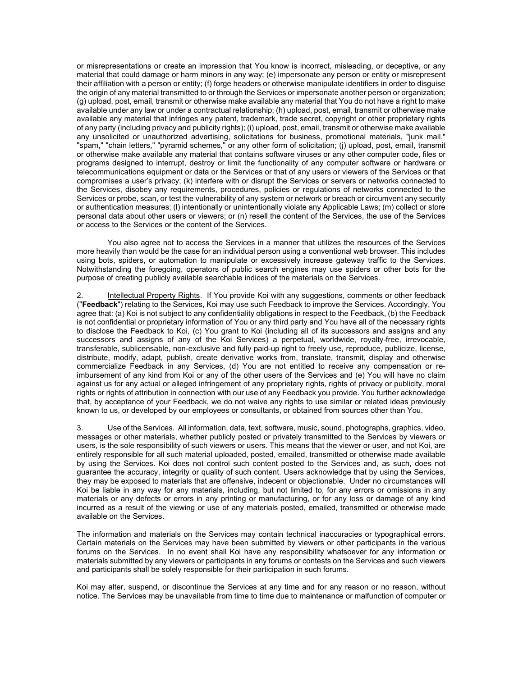or misrepresentations or create an impression that You know is incorrect, misleading, or deceptive, or any material that could damage or harm minors in any way; (e) impersonate any person or entity or misrepresent their affiliation with a person or entity; (f) forge headers or otherwise manipulate identifiers in order to disguise the origin of any material transmitted to or through the Services or impersonate another person or organization; (g) upload, post, email, transmit or otherwise make available any material that You do not have a right to make available under any law or under a contractual relationship; (h) upload, post, email, transmit or otherwise make available any material that infringes any patent, trademark, trade secret, copyright or other proprietary rights of any party (including privacy and publicity rights); (i) upload, post, email, transmit or otherwise make available any unsolicited or unauthorized advertising, solicitations for business, promotional materials, "junk mail," "spam," "chain letters," "pyramid schemes," or any other form of solicitation; (j) upload, post, email, transmit or otherwise make available any material that contains software viruses or any other computer code, files or programs designed to interrupt, destroy or limit the functionality of any computer software or hardware or telecommunications equipment or data or the Services or that of any users or viewers of the Services or that compromises a user's privacy; (k) interfere with or disrupt the Services or servers or networks connected to the Services, disobey any requirements, procedures, policies or regulations of networks connected to the Services or probe, scan, or test the vulnerability of any system or network or breach or circumvent any security or authentication measures; (l) intentionally or unintentionally violate any Applicable Laws; (m) collect or store personal data about other users or viewers; or (n) resell the content of the Services, the use of the Services or access to the Services or the content of the Services.

You also agree not to access the Services in a manner that utilizes the resources of the Services more heavily than would be the case for an individual person using a conventional web browser. This includes using bots, spiders, or automation to manipulate or excessively increase gateway traffic to the Services. Notwithstanding the foregoing, operators of public search engines may use spiders or other bots for the purpose of creating publicly available searchable indices of the materials on the Services.

2. Intellectual Property Rights. If You provide Koi with any suggestions, comments or other feedback ("Feedback") relating to the Services, Koi may use such Feedback to improve the Services, Accordingly, You agree that: (a) Koi is not subject to any confidentiality obligations in respect to the Feedback, (b) the Feedback is not confidential or proprietary information of You or any third party and You have all of the necessary rights to disclose the Feedback to Koi, (c) You grant to Koi (including all of its successors and assigns and any successors and assigns of any of the Koi Services) a perpetual, worldwide, royalty-free, irrevocable, transferable, sublicensable, non-exclusive and fully paid-up right to freely use, reproduce, publicize, license, distribute, modify, adapt, publish, create derivative works from, translate, transmit, display and otherwise commercialize Feedback in any Services, (d) You are not entitled to receive any compensation or reimbursement of any kind from Koi or any of the other users of the Services and (e) You will have no claim against us for any actual or alleged infringement of any proprietary rights, rights of privacy or publicity, moral rights or rights of attribution in connection with our use of any Feedback you provide. You further acknowledge that, by acceptance of your Feedback, we do not waive any rights to use similar or related ideas previously known to us, or developed by our employees or consultants, or obtained from sources other than You.

3. Use of the Services. All information, data, text, software, music, sound, photographs, graphics, video, messages or other materials, whether publicly posted or privately transmitted to the Services by viewers or users, is the sole responsibility of such viewers or users. This means that the viewer or user, and not Koi, are entirely responsible for all such material uploaded, posted, emailed, transmitted or otherwise made available by using the Services. Koi does not control such content posted to the Services and, as such, does not guarantee the accuracy, integrity or quality of such content. Users acknowledge that by using the Services, they may be exposed to materials that are offensive, indecent or objectionable. Under no circumstances will Koi be liable in any way for any materials, including, but not limited to, for any errors or omissions in any materials or any defects or errors in any printing or manufacturing, or for any loss or damage of any kind incurred as a result of the viewing or use of any materials posted, emailed, transmitted or otherwise made available on the Services.

The information and materials on the Services may contain technical inaccuracies or typographical errors. Certain materials on the Services may have been submitted by viewers or other participants in the various forums on the Services. In no event shall Koi have any responsibility whatsoever for any information or materials submitted by any viewers or participants in any forums or contests on the Services and such viewers and participants shall be solely responsible for their participation in such forums.

Koi may alter, suspend, or discontinue the Services at any time and for any reason or no reason, without notice. The Services may be unavailable from time to time due to maintenance or malfunction of computer or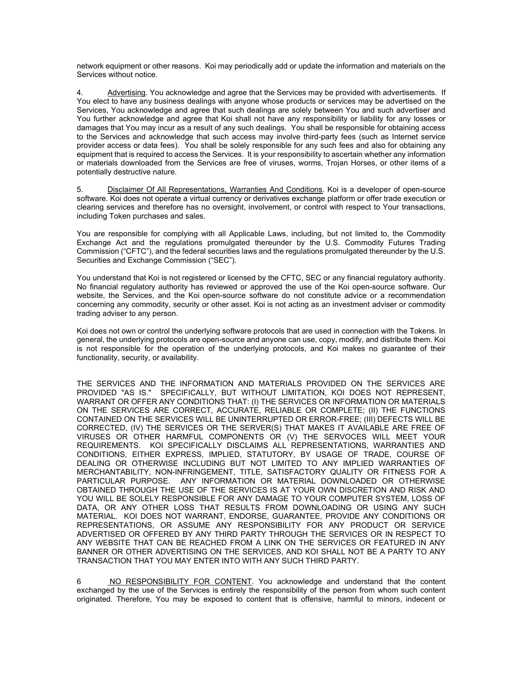network equipment or other reasons. Koi may periodically add or update the information and materials on the Services without notice.

4. Advertising. You acknowledge and agree that the Services may be provided with advertisements. If You elect to have any business dealings with anyone whose products or services may be advertised on the Services, You acknowledge and agree that such dealings are solely between You and such advertiser and You further acknowledge and agree that Koi shall not have any responsibility or liability for any losses or damages that You may incur as a result of any such dealings. You shall be responsible for obtaining access to the Services and acknowledge that such access may involve third-party fees (such as Internet service provider access or data fees). You shall be solely responsible for any such fees and also for obtaining any equipment that is required to access the Services. It is your responsibility to ascertain whether any information or materials downloaded from the Services are free of viruses, worms, Trojan Horses, or other items of a potentially destructive nature.

5. Disclaimer Of All Representations, Warranties And Conditions. Koi is a developer of open-source software. Koi does not operate a virtual currency or derivatives exchange platform or offer trade execution or clearing services and therefore has no oversight, involvement, or control with respect to Your transactions, including Token purchases and sales.

You are responsible for complying with all Applicable Laws, including, but not limited to, the Commodity Exchange Act and the regulations promulgated thereunder by the U.S. Commodity Futures Trading Commission ("CFTC"), and the federal securities laws and the regulations promulgated thereunder by the U.S. Securities and Exchange Commission ("SEC").

You understand that Koi is not registered or licensed by the CFTC, SEC or any financial regulatory authority. No financial regulatory authority has reviewed or approved the use of the Koi open-source software. Our website, the Services, and the Koi open-source software do not constitute advice or a recommendation concerning any commodity, security or other asset. Koi is not acting as an investment adviser or commodity trading adviser to any person.

Koi does not own or control the underlying software protocols that are used in connection with the Tokens. In general, the underlying protocols are open-source and anyone can use, copy, modify, and distribute them. Koi is not responsible for the operation of the underlying protocols, and Koi makes no guarantee of their functionality, security, or availability.

THE SERVICES AND THE INFORMATION AND MATERIALS PROVIDED ON THE SERVICES ARE PROVIDED "AS IS." SPECIFICALLY, BUT WITHOUT LIMITATION, KOI DOES NOT REPRESENT, WARRANT OR OFFER ANY CONDITIONS THAT: (I) THE SERVICES OR INFORMATION OR MATERIALS ON THE SERVICES ARE CORRECT, ACCURATE, RELIABLE OR COMPLETE; (II) THE FUNCTIONS CONTAINED ON THE SERVICES WILL BE UNINTERRUPTED OR ERROR-FREE; (III) DEFECTS WILL BE CORRECTED, (IV) THE SERVICES OR THE SERVER(S) THAT MAKES IT AVAILABLE ARE FREE OF VIRUSES OR OTHER HARMFUL COMPONENTS OR (V) THE SERVOCES WILL MEET YOUR REQUIREMENTS. KOI SPECIFICALLY DISCLAIMS ALL REPRESENTATIONS, WARRANTIES AND CONDITIONS, EITHER EXPRESS, IMPLIED, STATUTORY, BY USAGE OF TRADE, COURSE OF DEALING OR OTHERWISE INCLUDING BUT NOT LIMITED TO ANY IMPLIED WARRANTIES OF MERCHANTABILITY, NON-INFRINGEMENT, TITLE, SATISFACTORY QUALITY OR FITNESS FOR A PARTICULAR PURPOSE. ANY INFORMATION OR MATERIAL DOWNLOADED OR OTHERWISE OBTAINED THROUGH THE USE OF THE SERVICES IS AT YOUR OWN DISCRETION AND RISK AND YOU WILL BE SOLELY RESPONSIBLE FOR ANY DAMAGE TO YOUR COMPUTER SYSTEM, LOSS OF DATA, OR ANY OTHER LOSS THAT RESULTS FROM DOWNLOADING OR USING ANY SUCH MATERIAL. KOI DOES NOT WARRANT, ENDORSE, GUARANTEE, PROVIDE ANY CONDITIONS OR REPRESENTATIONS, OR ASSUME ANY RESPONSIBILITY FOR ANY PRODUCT OR SERVICE ADVERTISED OR OFFERED BY ANY THIRD PARTY THROUGH THE SERVICES OR IN RESPECT TO ANY WEBSITE THAT CAN BE REACHED FROM A LINK ON THE SERVICES OR FEATURED IN ANY BANNER OR OTHER ADVERTISING ON THE SERVICES, AND KOI SHALL NOT BE A PARTY TO ANY TRANSACTION THAT YOU MAY ENTER INTO WITH ANY SUCH THIRD PARTY.

6 NO RESPONSIBILITY FOR CONTENT. You acknowledge and understand that the content exchanged by the use of the Services is entirely the responsibility of the person from whom such content originated. Therefore, You may be exposed to content that is offensive, harmful to minors, indecent or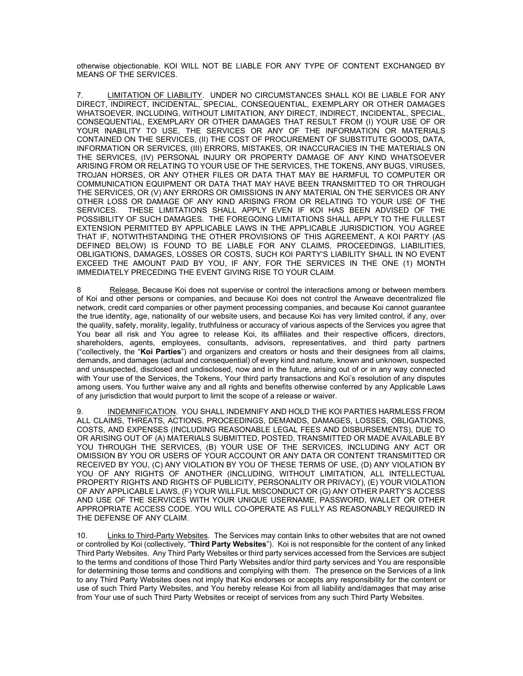otherwise objectionable. KOI WILL NOT BE LIABLE FOR ANY TYPE OF CONTENT EXCHANGED BY MEANS OF THE SERVICES.

7. LIMITATION OF LIABILITY. UNDER NO CIRCUMSTANCES SHALL KOI BE LIABLE FOR ANY DIRECT, INDIRECT, INCIDENTAL, SPECIAL, CONSEQUENTIAL, EXEMPLARY OR OTHER DAMAGES WHATSOEVER, INCLUDING, WITHOUT LIMITATION, ANY DIRECT, INDIRECT, INCIDENTAL, SPECIAL, CONSEQUENTIAL, EXEMPLARY OR OTHER DAMAGES THAT RESULT FROM (I) YOUR USE OF OR YOUR INABILITY TO USE, THE SERVICES OR ANY OF THE INFORMATION OR MATERIALS CONTAINED ON THE SERVICES, (II) THE COST OF PROCUREMENT OF SUBSTITUTE GOODS, DATA, INFORMATION OR SERVICES, (III) ERRORS, MISTAKES, OR INACCURACIES IN THE MATERIALS ON THE SERVICES, (IV) PERSONAL INJURY OR PROPERTY DAMAGE OF ANY KIND WHATSOEVER ARISING FROM OR RELATING TO YOUR USE OF THE SERVICES, THE TOKENS, ANY BUGS, VIRUSES, TROJAN HORSES, OR ANY OTHER FILES OR DATA THAT MAY BE HARMFUL TO COMPUTER OR COMMUNICATION EQUIPMENT OR DATA THAT MAY HAVE BEEN TRANSMITTED TO OR THROUGH THE SERVICES, OR (V) ANY ERRORS OR OMISSIONS IN ANY MATERIAL ON THE SERVICES OR ANY OTHER LOSS OR DAMAGE OF ANY KIND ARISING FROM OR RELATING TO YOUR USE OF THE SERVICES. THESE LIMITATIONS SHALL APPLY EVEN IF KOI HAS BEEN ADVISED OF THE POSSIBILITY OF SUCH DAMAGES. THE FOREGOING LIMITATIONS SHALL APPLY TO THE FULLEST EXTENSION PERMITTED BY APPLICABLE LAWS IN THE APPLICABLE JURISDICTION. YOU AGREE THAT IF, NOTWITHSTANDING THE OTHER PROVISIONS OF THIS AGREEMENT, A KOI PARTY (AS DEFINED BELOW) IS FOUND TO BE LIABLE FOR ANY CLAIMS, PROCEEDINGS, LIABILITIES, OBLIGATIONS, DAMAGES, LOSSES OR COSTS, SUCH KOI PARTY'S LIABILITY SHALL IN NO EVENT EXCEED THE AMOUNT PAID BY YOU, IF ANY, FOR THE SERVICES IN THE ONE (1) MONTH IMMEDIATELY PRECEDING THE EVENT GIVING RISE TO YOUR CLAIM.

8 Release. Because Koi does not supervise or control the interactions among or between members of Koi and other persons or companies, and because Koi does not control the Arweave decentralized file network, credit card companies or other payment processing companies, and because Koi cannot guarantee the true identity, age, nationality of our website users, and because Koi has very limited control, if any, over the quality, safety, morality, legality, truthfulness or accuracy of various aspects of the Services you agree that You bear all risk and You agree to release Koi, its affiliates and their respective officers, directors, shareholders, agents, employees, consultants, advisors, representatives, and third party partners ("collectively, the "Koi Parties") and organizers and creators or hosts and their designees from all claims, demands, and damages (actual and consequential) of every kind and nature, known and unknown, suspected and unsuspected, disclosed and undisclosed, now and in the future, arising out of or in any way connected with Your use of the Services, the Tokens, Your third party transactions and Koi's resolution of any disputes among users. You further waive any and all rights and benefits otherwise conferred by any Applicable Laws of any jurisdiction that would purport to limit the scope of a release or waiver.

9. INDEMNIFICATION. YOU SHALL INDEMNIFY AND HOLD THE KOI PARTIES HARMLESS FROM ALL CLAIMS, THREATS, ACTIONS, PROCEEDINGS, DEMANDS, DAMAGES, LOSSES, OBLIGATIONS, COSTS, AND EXPENSES (INCLUDING REASONABLE LEGAL FEES AND DISBURSEMENTS), DUE TO OR ARISING OUT OF (A) MATERIALS SUBMITTED, POSTED, TRANSMITTED OR MADE AVAILABLE BY YOU THROUGH THE SERVICES, (B) YOUR USE OF THE SERVICES, INCLUDING ANY ACT OR OMISSION BY YOU OR USERS OF YOUR ACCOUNT OR ANY DATA OR CONTENT TRANSMITTED OR RECEIVED BY YOU, (C) ANY VIOLATION BY YOU OF THESE TERMS OF USE, (D) ANY VIOLATION BY YOU OF ANY RIGHTS OF ANOTHER (INCLUDING, WITHOUT LIMITATION, ALL INTELLECTUAL PROPERTY RIGHTS AND RIGHTS OF PUBLICITY, PERSONALITY OR PRIVACY), (E) YOUR VIOLATION OF ANY APPLICABLE LAWS, (F) YOUR WILLFUL MISCONDUCT OR (G) ANY OTHER PARTY'S ACCESS AND USE OF THE SERVICES WITH YOUR UNIQUE USERNAME, PASSWORD, WALLET OR OTHER APPROPRIATE ACCESS CODE. YOU WILL CO-OPERATE AS FULLY AS REASONABLY REQUIRED IN THE DEFENSE OF ANY CLAIM.

10. Links to Third-Party Websites. The Services may contain links to other websites that are not owned or controlled by Koi (collectively, "Third Party Websites"). Koi is not responsible for the content of any linked Third Party Websites. Any Third Party Websites or third party services accessed from the Services are subject to the terms and conditions of those Third Party Websites and/or third party services and You are responsible for determining those terms and conditions and complying with them. The presence on the Services of a link to any Third Party Websites does not imply that Koi endorses or accepts any responsibility for the content or use of such Third Party Websites, and You hereby release Koi from all liability and/damages that may arise from Your use of such Third Party Websites or receipt of services from any such Third Party Websites.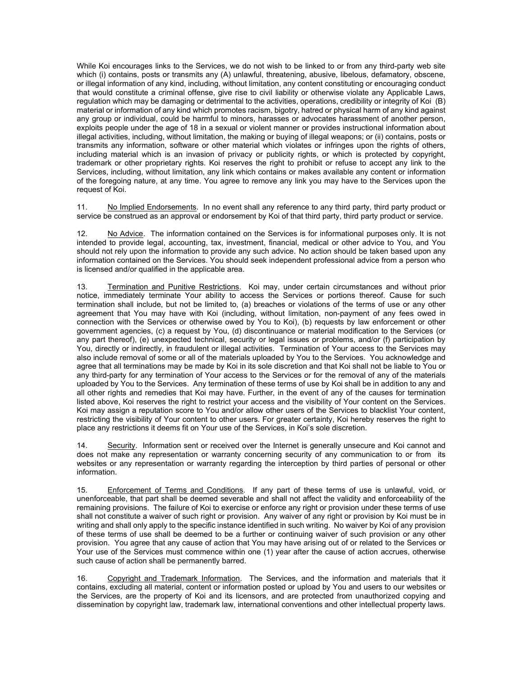While Koi encourages links to the Services, we do not wish to be linked to or from any third-party web site which (i) contains, posts or transmits any (A) unlawful, threatening, abusive, libelous, defamatory, obscene, or illegal information of any kind, including, without limitation, any content constituting or encouraging conduct that would constitute a criminal offense, give rise to civil liability or otherwise violate any Applicable Laws, regulation which may be damaging or detrimental to the activities, operations, credibility or integrity of Koi (B) material or information of any kind which promotes racism, bigotry, hatred or physical harm of any kind against any group or individual, could be harmful to minors, harasses or advocates harassment of another person, exploits people under the age of 18 in a sexual or violent manner or provides instructional information about illegal activities, including, without limitation, the making or buying of illegal weapons; or (ii) contains, posts or transmits any information, software or other material which violates or infringes upon the rights of others, including material which is an invasion of privacy or publicity rights, or which is protected by copyright, trademark or other proprietary rights. Koi reserves the right to prohibit or refuse to accept any link to the Services, including, without limitation, any link which contains or makes available any content or information of the foregoing nature, at any time. You agree to remove any link you may have to the Services upon the request of Koi.

11. No Implied Endorsements. In no event shall any reference to any third party, third party product or service be construed as an approval or endorsement by Koi of that third party, third party product or service.

12. No Advice. The information contained on the Services is for informational purposes only. It is not intended to provide legal, accounting, tax, investment, financial, medical or other advice to You, and You should not rely upon the information to provide any such advice. No action should be taken based upon any information contained on the Services. You should seek independent professional advice from a person who is licensed and/or qualified in the applicable area.

13. Termination and Punitive Restrictions. Koi may, under certain circumstances and without prior notice, immediately terminate Your ability to access the Services or portions thereof. Cause for such termination shall include, but not be limited to, (a) breaches or violations of the terms of use or any other agreement that You may have with Koi (including, without limitation, non-payment of any fees owed in connection with the Services or otherwise owed by You to Koi), (b) requests by law enforcement or other government agencies, (c) a request by You, (d) discontinuance or material modification to the Services (or any part thereof), (e) unexpected technical, security or legal issues or problems, and/or (f) participation by You, directly or indirectly, in fraudulent or illegal activities. Termination of Your access to the Services may also include removal of some or all of the materials uploaded by You to the Services. You acknowledge and agree that all terminations may be made by Koi in its sole discretion and that Koi shall not be liable to You or any third-party for any termination of Your access to the Services or for the removal of any of the materials uploaded by You to the Services. Any termination of these terms of use by Koi shall be in addition to any and all other rights and remedies that Koi may have. Further, in the event of any of the causes for termination listed above, Koi reserves the right to restrict your access and the visibility of Your content on the Services. Koi may assign a reputation score to You and/or allow other users of the Services to blacklist Your content, restricting the visibility of Your content to other users. For greater certainty, Koi hereby reserves the right to place any restrictions it deems fit on Your use of the Services, in Koi's sole discretion.

14. Security. Information sent or received over the Internet is generally unsecure and Koi cannot and does not make any representation or warranty concerning security of any communication to or from its websites or any representation or warranty regarding the interception by third parties of personal or other information.

15. Enforcement of Terms and Conditions. If any part of these terms of use is unlawful, void, or unenforceable, that part shall be deemed severable and shall not affect the validity and enforceability of the remaining provisions. The failure of Koi to exercise or enforce any right or provision under these terms of use shall not constitute a waiver of such right or provision. Any waiver of any right or provision by Koi must be in writing and shall only apply to the specific instance identified in such writing. No waiver by Koi of any provision of these terms of use shall be deemed to be a further or continuing waiver of such provision or any other provision. You agree that any cause of action that You may have arising out of or related to the Services or Your use of the Services must commence within one (1) year after the cause of action accrues, otherwise such cause of action shall be permanently barred.

16. Copyright and Trademark Information. The Services, and the information and materials that it contains, excluding all material, content or information posted or upload by You and users to our websites or the Services, are the property of Koi and its licensors, and are protected from unauthorized copying and dissemination by copyright law, trademark law, international conventions and other intellectual property laws.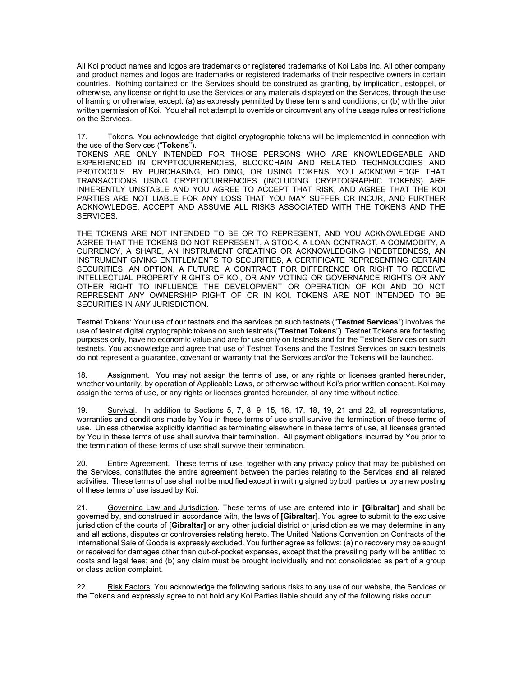All Koi product names and logos are trademarks or registered trademarks of Koi Labs Inc. All other company and product names and logos are trademarks or registered trademarks of their respective owners in certain countries. Nothing contained on the Services should be construed as granting, by implication, estoppel, or otherwise, any license or right to use the Services or any materials displayed on the Services, through the use of framing or otherwise, except: (a) as expressly permitted by these terms and conditions; or (b) with the prior written permission of Koi. You shall not attempt to override or circumvent any of the usage rules or restrictions on the Services.

17. Tokens. You acknowledge that digital cryptographic tokens will be implemented in connection with the use of the Services ("Tokens").

TOKENS ARE ONLY INTENDED FOR THOSE PERSONS WHO ARE KNOWLEDGEABLE AND EXPERIENCED IN CRYPTOCURRENCIES, BLOCKCHAIN AND RELATED TECHNOLOGIES AND PROTOCOLS. BY PURCHASING, HOLDING, OR USING TOKENS, YOU ACKNOWLEDGE THAT TRANSACTIONS USING CRYPTOCURRENCIES (INCLUDING CRYPTOGRAPHIC TOKENS) ARE INHERENTLY UNSTABLE AND YOU AGREE TO ACCEPT THAT RISK, AND AGREE THAT THE KOI PARTIES ARE NOT LIABLE FOR ANY LOSS THAT YOU MAY SUFFER OR INCUR, AND FURTHER ACKNOWLEDGE, ACCEPT AND ASSUME ALL RISKS ASSOCIATED WITH THE TOKENS AND THE SERVICES.

THE TOKENS ARE NOT INTENDED TO BE OR TO REPRESENT, AND YOU ACKNOWLEDGE AND AGREE THAT THE TOKENS DO NOT REPRESENT, A STOCK, A LOAN CONTRACT, A COMMODITY, A CURRENCY, A SHARE, AN INSTRUMENT CREATING OR ACKNOWLEDGING INDEBTEDNESS, AN INSTRUMENT GIVING ENTITLEMENTS TO SECURITIES, A CERTIFICATE REPRESENTING CERTAIN SECURITIES, AN OPTION, A FUTURE, A CONTRACT FOR DIFFERENCE OR RIGHT TO RECEIVE INTELLECTUAL PROPERTY RIGHTS OF KOI, OR ANY VOTING OR GOVERNANCE RIGHTS OR ANY OTHER RIGHT TO INFLUENCE THE DEVELOPMENT OR OPERATION OF KOI AND DO NOT REPRESENT ANY OWNERSHIP RIGHT OF OR IN KOI. TOKENS ARE NOT INTENDED TO BE SECURITIES IN ANY JURISDICTION.

Testnet Tokens: Your use of our testnets and the services on such testnets ("Testnet Services") involves the use of testnet digital cryptographic tokens on such testnets ("Testnet Tokens"). Testnet Tokens are for testing purposes only, have no economic value and are for use only on testnets and for the Testnet Services on such testnets. You acknowledge and agree that use of Testnet Tokens and the Testnet Services on such testnets do not represent a guarantee, covenant or warranty that the Services and/or the Tokens will be launched.

18. Assignment. You may not assign the terms of use, or any rights or licenses granted hereunder, whether voluntarily, by operation of Applicable Laws, or otherwise without Koi's prior written consent. Koi may assign the terms of use, or any rights or licenses granted hereunder, at any time without notice.

19. Survival. In addition to Sections 5, 7, 8, 9, 15, 16, 17, 18, 19, 21 and 22, all representations, warranties and conditions made by You in these terms of use shall survive the termination of these terms of use. Unless otherwise explicitly identified as terminating elsewhere in these terms of use, all licenses granted by You in these terms of use shall survive their termination. All payment obligations incurred by You prior to the termination of these terms of use shall survive their termination.

20. Entire Agreement. These terms of use, together with any privacy policy that may be published on the Services, constitutes the entire agreement between the parties relating to the Services and all related activities. These terms of use shall not be modified except in writing signed by both parties or by a new posting of these terms of use issued by Koi.

21. Governing Law and Jurisdiction. These terms of use are entered into in [Gibraltar] and shall be governed by, and construed in accordance with, the laws of [Gibraltar]. You agree to submit to the exclusive jurisdiction of the courts of **[Gibraltar]** or any other judicial district or jurisdiction as we may determine in any and all actions, disputes or controversies relating hereto. The United Nations Convention on Contracts of the International Sale of Goods is expressly excluded. You further agree as follows: (a) no recovery may be sought or received for damages other than out-of-pocket expenses, except that the prevailing party will be entitled to costs and legal fees; and (b) any claim must be brought individually and not consolidated as part of a group or class action complaint.

22. Risk Factors. You acknowledge the following serious risks to any use of our website, the Services or the Tokens and expressly agree to not hold any Koi Parties liable should any of the following risks occur: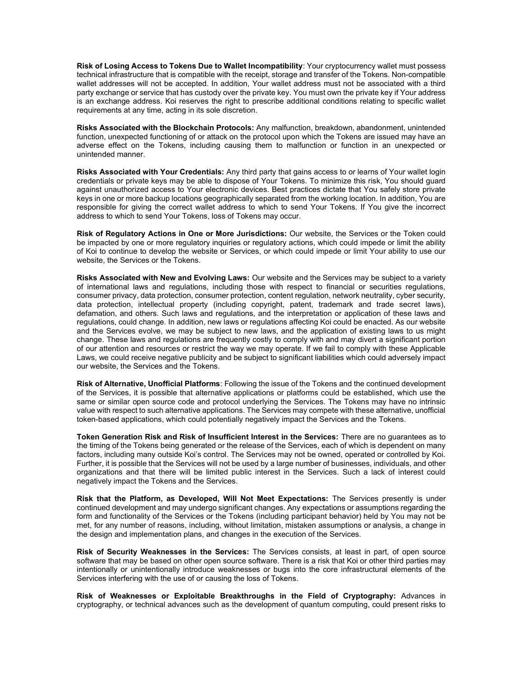Risk of Losing Access to Tokens Due to Wallet Incompatibility: Your cryptocurrency wallet must possess technical infrastructure that is compatible with the receipt, storage and transfer of the Tokens. Non-compatible wallet addresses will not be accepted. In addition, Your wallet address must not be associated with a third party exchange or service that has custody over the private key. You must own the private key if Your address is an exchange address. Koi reserves the right to prescribe additional conditions relating to specific wallet requirements at any time, acting in its sole discretion.

Risks Associated with the Blockchain Protocols: Any malfunction, breakdown, abandonment, unintended function, unexpected functioning of or attack on the protocol upon which the Tokens are issued may have an adverse effect on the Tokens, including causing them to malfunction or function in an unexpected or unintended manner.

Risks Associated with Your Credentials: Any third party that gains access to or learns of Your wallet login credentials or private keys may be able to dispose of Your Tokens. To minimize this risk, You should guard against unauthorized access to Your electronic devices. Best practices dictate that You safely store private keys in one or more backup locations geographically separated from the working location. In addition, You are responsible for giving the correct wallet address to which to send Your Tokens. If You give the incorrect address to which to send Your Tokens, loss of Tokens may occur.

Risk of Regulatory Actions in One or More Jurisdictions: Our website, the Services or the Token could be impacted by one or more regulatory inquiries or regulatory actions, which could impede or limit the ability of Koi to continue to develop the website or Services, or which could impede or limit Your ability to use our website, the Services or the Tokens.

Risks Associated with New and Evolving Laws: Our website and the Services may be subject to a variety of international laws and regulations, including those with respect to financial or securities regulations, consumer privacy, data protection, consumer protection, content regulation, network neutrality, cyber security, data protection, intellectual property (including copyright, patent, trademark and trade secret laws), defamation, and others. Such laws and regulations, and the interpretation or application of these laws and regulations, could change. In addition, new laws or regulations affecting Koi could be enacted. As our website and the Services evolve, we may be subject to new laws, and the application of existing laws to us might change. These laws and regulations are frequently costly to comply with and may divert a significant portion of our attention and resources or restrict the way we may operate. If we fail to comply with these Applicable Laws, we could receive negative publicity and be subject to significant liabilities which could adversely impact our website, the Services and the Tokens.

Risk of Alternative, Unofficial Platforms: Following the issue of the Tokens and the continued development of the Services, it is possible that alternative applications or platforms could be established, which use the same or similar open source code and protocol underlying the Services. The Tokens may have no intrinsic value with respect to such alternative applications. The Services may compete with these alternative, unofficial token-based applications, which could potentially negatively impact the Services and the Tokens.

Token Generation Risk and Risk of Insufficient Interest in the Services: There are no guarantees as to the timing of the Tokens being generated or the release of the Services, each of which is dependent on many factors, including many outside Koi's control. The Services may not be owned, operated or controlled by Koi. Further, it is possible that the Services will not be used by a large number of businesses, individuals, and other organizations and that there will be limited public interest in the Services. Such a lack of interest could negatively impact the Tokens and the Services.

Risk that the Platform, as Developed, Will Not Meet Expectations: The Services presently is under continued development and may undergo significant changes. Any expectations or assumptions regarding the form and functionality of the Services or the Tokens (including participant behavior) held by You may not be met, for any number of reasons, including, without limitation, mistaken assumptions or analysis, a change in the design and implementation plans, and changes in the execution of the Services.

Risk of Security Weaknesses in the Services: The Services consists, at least in part, of open source software that may be based on other open source software. There is a risk that Koi or other third parties may intentionally or unintentionally introduce weaknesses or bugs into the core infrastructural elements of the Services interfering with the use of or causing the loss of Tokens.

Risk of Weaknesses or Exploitable Breakthroughs in the Field of Cryptography: Advances in cryptography, or technical advances such as the development of quantum computing, could present risks to